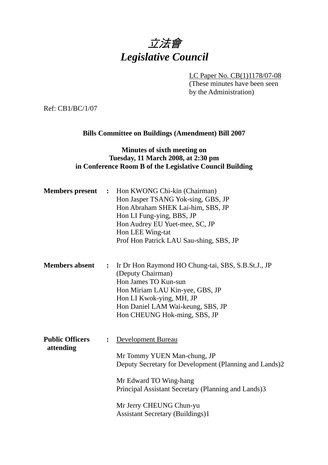# 立法會 *Legislative Council*

LC Paper No. CB(1)1178/07-08

(These minutes have been seen by the Administration)

Ref: CB1/BC/1/07

# **Bills Committee on Buildings (Amendment) Bill 2007**

# **Minutes of sixth meeting on Tuesday, 11 March 2008, at 2:30 pm in Conference Room B of the Legislative Council Building**

| <b>Members present :</b>            |                | Hon KWONG Chi-kin (Chairman)<br>Hon Jasper TSANG Yok-sing, GBS, JP<br>Hon Abraham SHEK Lai-him, SBS, JP<br>Hon LI Fung-ying, BBS, JP<br>Hon Audrey EU Yuet-mee, SC, JP<br>Hon LEE Wing-tat<br>Prof Hon Patrick LAU Sau-shing, SBS, JP                                     |
|-------------------------------------|----------------|---------------------------------------------------------------------------------------------------------------------------------------------------------------------------------------------------------------------------------------------------------------------------|
| <b>Members absent</b>               | $\ddot{\cdot}$ | Ir Dr Hon Raymond HO Chung-tai, SBS, S.B.St.J., JP<br>(Deputy Chairman)<br>Hon James TO Kun-sun<br>Hon Miriam LAU Kin-yee, GBS, JP<br>Hon LI Kwok-ying, MH, JP<br>Hon Daniel LAM Wai-keung, SBS, JP<br>Hon CHEUNG Hok-ming, SBS, JP                                       |
| <b>Public Officers</b><br>attending | $\ddot{\cdot}$ | <b>Development Bureau</b><br>Mr Tommy YUEN Man-chung, JP<br>Deputy Secretary for Development (Planning and Lands)2<br>Mr Edward TO Wing-hang<br>Principal Assistant Secretary (Planning and Lands)3<br>Mr Jerry CHEUNG Chun-yu<br><b>Assistant Secretary (Buildings)1</b> |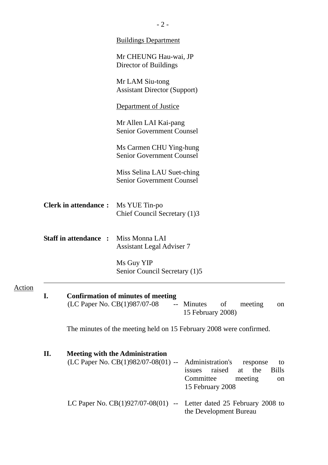|               |    |                              | <b>Buildings Department</b>                                                                                                                                                                                            |
|---------------|----|------------------------------|------------------------------------------------------------------------------------------------------------------------------------------------------------------------------------------------------------------------|
|               |    |                              | Mr CHEUNG Hau-wai, JP<br>Director of Buildings                                                                                                                                                                         |
|               |    |                              | Mr LAM Siu-tong<br><b>Assistant Director (Support)</b>                                                                                                                                                                 |
|               |    |                              | Department of Justice                                                                                                                                                                                                  |
|               |    |                              | Mr Allen LAI Kai-pang<br><b>Senior Government Counsel</b>                                                                                                                                                              |
|               |    |                              | Ms Carmen CHU Ying-hung<br><b>Senior Government Counsel</b>                                                                                                                                                            |
|               |    |                              | Miss Selina LAU Suet-ching<br><b>Senior Government Counsel</b>                                                                                                                                                         |
|               |    | <b>Clerk in attendance:</b>  | Ms YUE Tin-po<br>Chief Council Secretary (1)3                                                                                                                                                                          |
|               |    | <b>Staff in attendance :</b> | Miss Monna LAI<br><b>Assistant Legal Adviser 7</b>                                                                                                                                                                     |
|               |    |                              | Ms Guy YIP<br>Senior Council Secretary (1)5                                                                                                                                                                            |
| <u>Action</u> | I. |                              | <b>Confirmation of minutes of meeting</b><br>(LC Paper No. CB(1)987/07-08<br>-- Minutes<br>of<br>meeting<br>on<br>15 February 2008)                                                                                    |
|               |    |                              | The minutes of the meeting held on 15 February 2008 were confirmed.                                                                                                                                                    |
|               | П. |                              | <b>Meeting with the Administration</b><br>(LC Paper No. CB(1)982/07-08(01) --<br>Administration's<br>response<br>to<br>raised<br>the<br><b>Bills</b><br>issues<br>at<br>Committee<br>meeting<br>on<br>15 February 2008 |
|               |    |                              | LC Paper No. $CB(1)927/07-08(01)$ --<br>Letter dated 25 February 2008 to<br>the Development Bureau                                                                                                                     |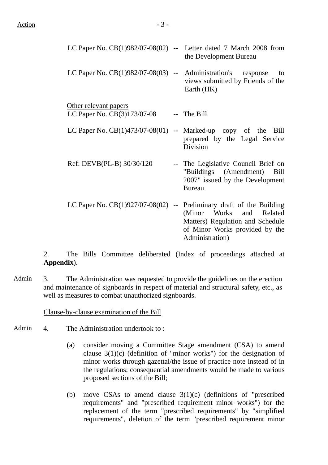|                                                                | LC Paper No. $CB(1)982/07-08(02)$ -- Letter dated 7 March 2008 from<br>the Development Bureau                                                                                               |
|----------------------------------------------------------------|---------------------------------------------------------------------------------------------------------------------------------------------------------------------------------------------|
| LC Paper No. $CB(1)982/07-08(03)$ -- Administration's response | to<br>views submitted by Friends of the<br>Earth (HK)                                                                                                                                       |
| Other relevant papers                                          |                                                                                                                                                                                             |
| LC Paper No. CB(3)173/07-08                                    | -- The Bill                                                                                                                                                                                 |
| LC Paper No. $CB(1)473/07-08(01)$ -- Marked-up copy of the     | Bill<br>prepared by the Legal Service<br>Division                                                                                                                                           |
| Ref: DEVB(PL-B) 30/30/120                                      | -- The Legislative Council Brief on<br>"Buildings (Amendment)<br>Bill<br>2007" issued by the Development<br><b>Bureau</b>                                                                   |
|                                                                | LC Paper No. $CB(1)927/07-08(02)$ -- Preliminary draft of the Building<br>(Minor Works and Related<br>Matters) Regulation and Schedule<br>of Minor Works provided by the<br>Administration) |

2. The Bills Committee deliberated (Index of proceedings attached at **Appendix**).

Admin 3. The Administration was requested to provide the guidelines on the erection and maintenance of signboards in respect of material and structural safety, etc., as well as measures to combat unauthorized signboards.

Clause-by-clause examination of the Bill

- Admin 4. The Administration undertook to:
	- (a) consider moving a Committee Stage amendment (CSA) to amend clause  $3(1)(c)$  (definition of "minor works") for the designation of minor works through gazettal/the issue of practice note instead of in the regulations; consequential amendments would be made to various proposed sections of the Bill;
	- (b) move CSAs to amend clause 3(1)(c) (definitions of "prescribed requirements" and "prescribed requirement minor works") for the replacement of the term "prescribed requirements" by "simplified requirements", deletion of the term "prescribed requirement minor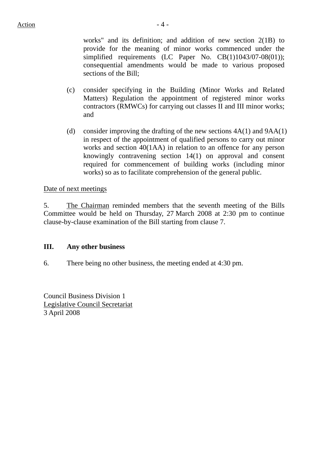works" and its definition; and addition of new section 2(1B) to provide for the meaning of minor works commenced under the simplified requirements (LC Paper No. CB(1)1043/07-08(01)); consequential amendments would be made to various proposed sections of the Bill;

- (c) consider specifying in the Building (Minor Works and Related Matters) Regulation the appointment of registered minor works contractors (RMWCs) for carrying out classes II and III minor works; and
- (d) consider improving the drafting of the new sections  $4A(1)$  and  $9AA(1)$ in respect of the appointment of qualified persons to carry out minor works and section 40(1AA) in relation to an offence for any person knowingly contravening section 14(1) on approval and consent required for commencement of building works (including minor works) so as to facilitate comprehension of the general public.

# Date of next meetings

5. The Chairman reminded members that the seventh meeting of the Bills Committee would be held on Thursday, 27 March 2008 at 2:30 pm to continue clause-by-clause examination of the Bill starting from clause 7.

## **III. Any other business**

6. There being no other business, the meeting ended at 4:30 pm.

Council Business Division 1 Legislative Council Secretariat 3 April 2008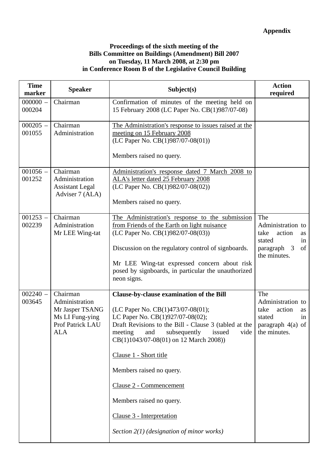### **Proceedings of the sixth meeting of the Bills Committee on Buildings (Amendment) Bill 2007 on Tuesday, 11 March 2008, at 2:30 pm in Conference Room B of the Legislative Council Building**

| <b>Time</b><br>marker | <b>Speaker</b>                                                                                     | Subject(s)                                                                                                                                                                                                                                                                                                                                                                                                                                                               | <b>Action</b><br>required                                                                               |
|-----------------------|----------------------------------------------------------------------------------------------------|--------------------------------------------------------------------------------------------------------------------------------------------------------------------------------------------------------------------------------------------------------------------------------------------------------------------------------------------------------------------------------------------------------------------------------------------------------------------------|---------------------------------------------------------------------------------------------------------|
| $000000 -$<br>000204  | Chairman                                                                                           | Confirmation of minutes of the meeting held on<br>15 February 2008 (LC Paper No. CB(1)987/07-08)                                                                                                                                                                                                                                                                                                                                                                         |                                                                                                         |
| $000205 -$<br>001055  | Chairman<br>Administration                                                                         | The Administration's response to issues raised at the<br>meeting on 15 February 2008<br>(LC Paper No. CB(1)987/07-08(01))<br>Members raised no query.                                                                                                                                                                                                                                                                                                                    |                                                                                                         |
| $001056 -$<br>001252  | Chairman<br>Administration<br><b>Assistant Legal</b><br>Adviser 7 (ALA)                            | Administration's response dated 7 March 2008 to<br>ALA's letter dated 25 February 2008<br>(LC Paper No. CB(1)982/07-08(02))<br>Members raised no query.                                                                                                                                                                                                                                                                                                                  |                                                                                                         |
| $001253 -$<br>002239  | Chairman<br>Administration<br>Mr LEE Wing-tat                                                      | The Administration's response to the submission<br>from Friends of the Earth on light nuisance<br>(LC Paper No. CB(1)982/07-08(03))<br>Discussion on the regulatory control of signboards.<br>Mr LEE Wing-tat expressed concern about risk<br>posed by signboards, in particular the unauthorized<br>neon signs.                                                                                                                                                         | The<br>Administration to<br>action<br>take<br>as<br>stated<br>in<br>of<br>paragraph 3<br>the minutes.   |
| $002240 -$<br>003645  | Chairman<br>Administration<br>Mr Jasper TSANG<br>Ms LI Fung-ying<br>Prof Patrick LAU<br><b>ALA</b> | <b>Clause-by-clause examination of the Bill</b><br>(LC Paper No. CB(1)473/07-08(01);<br>LC Paper No. CB(1)927/07-08(02);<br>Draft Revisions to the Bill - Clause 3 (tabled at the<br>meeting<br>and<br>subsequently<br>issued<br>vide<br>CB(1)1043/07-08(01) on 12 March 2008))<br>Clause 1 - Short title<br>Members raised no query.<br>Clause 2 - Commencement<br>Members raised no query.<br>Clause 3 - Interpretation<br>Section $2(1)$ (designation of minor works) | The<br>Administration to<br>action<br>take<br>as<br>stated<br>in<br>paragraph $4(a)$ of<br>the minutes. |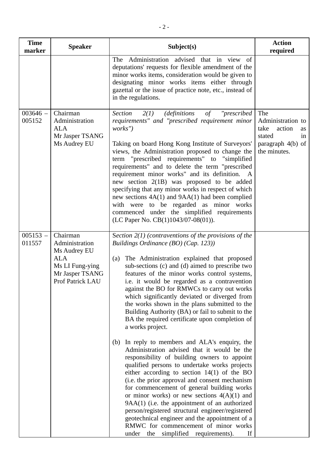| <b>Time</b><br>marker | <b>Speaker</b>                                                                                                     | Subject(s)                                                                                                                                                                                                                                                                                                                                                                                                                                                                                                                                                                                                                                                                                                                                                                                                                                                                                                                                                                                                                                                                                                                                                                                                                      | <b>Action</b><br>required                                                                             |
|-----------------------|--------------------------------------------------------------------------------------------------------------------|---------------------------------------------------------------------------------------------------------------------------------------------------------------------------------------------------------------------------------------------------------------------------------------------------------------------------------------------------------------------------------------------------------------------------------------------------------------------------------------------------------------------------------------------------------------------------------------------------------------------------------------------------------------------------------------------------------------------------------------------------------------------------------------------------------------------------------------------------------------------------------------------------------------------------------------------------------------------------------------------------------------------------------------------------------------------------------------------------------------------------------------------------------------------------------------------------------------------------------|-------------------------------------------------------------------------------------------------------|
|                       |                                                                                                                    | The Administration advised that in view of<br>deputations' requests for flexible amendment of the<br>minor works items, consideration would be given to<br>designating minor works items either through<br>gazettal or the issue of practice note, etc., instead of<br>in the regulations.                                                                                                                                                                                                                                                                                                                                                                                                                                                                                                                                                                                                                                                                                                                                                                                                                                                                                                                                      |                                                                                                       |
| $003646 -$<br>005152  | Chairman<br>Administration<br><b>ALA</b><br>Mr Jasper TSANG<br>Ms Audrey EU                                        | "prescribed<br><b>Section</b><br>2(1)<br><i>(definitions</i><br>of<br>requirements" and "prescribed requirement minor<br>works")<br>Taking on board Hong Kong Institute of Surveyors'<br>views, the Administration proposed to change the<br>term "prescribed requirements" to "simplified<br>requirements" and to delete the term "prescribed<br>requirement minor works" and its definition. A<br>new section 2(1B) was proposed to be added<br>specifying that any minor works in respect of which<br>new sections $4A(1)$ and $9AA(1)$ had been complied<br>with were to be regarded as minor works<br>commenced under the simplified requirements<br>(LC Paper No. $CB(1)1043/07-08(01)$ ).                                                                                                                                                                                                                                                                                                                                                                                                                                                                                                                                | The<br>Administration to<br>take<br>action<br>as<br>stated<br>1n<br>paragraph 4(b) of<br>the minutes. |
| $005153 -$<br>011557  | Chairman<br>Administration<br>Ms Audrey EU<br><b>ALA</b><br>Ms LI Fung-ying<br>Mr Jasper TSANG<br>Prof Patrick LAU | Section $2(1)$ (contraventions of the provisions of the<br>Buildings Ordinance (BO) (Cap. 123))<br>(a) The Administration explained that proposed<br>sub-sections (c) and (d) aimed to prescribe two<br>features of the minor works control systems,<br>i.e. it would be regarded as a contravention<br>against the BO for RMWCs to carry out works<br>which significantly deviated or diverged from<br>the works shown in the plans submitted to the<br>Building Authority (BA) or fail to submit to the<br>BA the required certificate upon completion of<br>a works project.<br>(b) In reply to members and ALA's enquiry, the<br>Administration advised that it would be the<br>responsibility of building owners to appoint<br>qualified persons to undertake works projects<br>either according to section $14(1)$ of the BO<br>(i.e. the prior approval and consent mechanism<br>for commencement of general building works<br>or minor works) or new sections $4(A)(1)$ and<br>9AA(1) (i.e. the appointment of an authorized<br>person/registered structural engineer/registered<br>geotechnical engineer and the appointment of a<br>RMWC for commencement of minor works<br>under the simplified requirements).<br>If |                                                                                                       |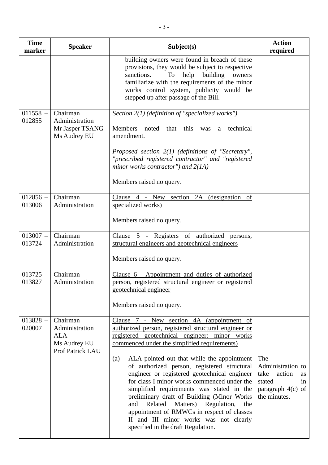| <b>Time</b><br>marker | <b>Speaker</b>                                                               | Subject(s)                                                                                                                                                                                                                                                                                                                                                                                                                                                                                                                                                                                                                                                                      | <b>Action</b><br>required                                                                               |
|-----------------------|------------------------------------------------------------------------------|---------------------------------------------------------------------------------------------------------------------------------------------------------------------------------------------------------------------------------------------------------------------------------------------------------------------------------------------------------------------------------------------------------------------------------------------------------------------------------------------------------------------------------------------------------------------------------------------------------------------------------------------------------------------------------|---------------------------------------------------------------------------------------------------------|
|                       |                                                                              | building owners were found in breach of these<br>provisions, they would be subject to respective<br>building<br>sanctions.<br>help<br>To<br>owners<br>familiarize with the requirements of the minor<br>works control system, publicity would be<br>stepped up after passage of the Bill.                                                                                                                                                                                                                                                                                                                                                                                       |                                                                                                         |
| $011558 -$<br>012855  | Chairman<br>Administration<br>Mr Jasper TSANG<br>Ms Audrey EU                | Section $2(1)$ (definition of "specialized works")<br>Members<br>noted that this<br>technical<br>was<br>a<br>amendment.<br>Proposed section 2(1) (definitions of "Secretary",<br>"prescribed registered contractor" and "registered<br>minor works contractor") and $2(1A)$<br>Members raised no query.                                                                                                                                                                                                                                                                                                                                                                         |                                                                                                         |
| $012856 -$<br>013006  | Chairman<br>Administration                                                   | Clause 4 - New section 2A (designation of<br>specialized works)<br>Members raised no query.                                                                                                                                                                                                                                                                                                                                                                                                                                                                                                                                                                                     |                                                                                                         |
| $013007 -$<br>013724  | Chairman<br>Administration                                                   | Clause 5 - Registers of authorized<br>persons,<br>structural engineers and geotechnical engineers<br>Members raised no query.                                                                                                                                                                                                                                                                                                                                                                                                                                                                                                                                                   |                                                                                                         |
| $013725 -$<br>013827  | Chairman<br>Administration                                                   | Clause 6 - Appointment and duties of authorized<br>person, registered structural engineer or registered<br>geotechnical engineer<br>Members raised no query.                                                                                                                                                                                                                                                                                                                                                                                                                                                                                                                    |                                                                                                         |
| $013828 -$<br>020007  | Chairman<br>Administration<br><b>ALA</b><br>Ms Audrey EU<br>Prof Patrick LAU | Clause 7 - New section 4A (appointment of<br>authorized person, registered structural engineer or<br>registered geotechnical engineer: minor works<br>commenced under the simplified requirements)<br>ALA pointed out that while the appointment<br>(a)<br>of authorized person, registered structural<br>engineer or registered geotechnical engineer<br>for class I minor works commenced under the<br>simplified requirements was stated in the<br>preliminary draft of Building (Minor Works<br>Related<br>Matters) Regulation,<br>and<br>the<br>appointment of RMWCs in respect of classes<br>II and III minor works was not clearly<br>specified in the draft Regulation. | The<br>Administration to<br>take<br>action<br>as<br>stated<br>in<br>paragraph $4(c)$ of<br>the minutes. |